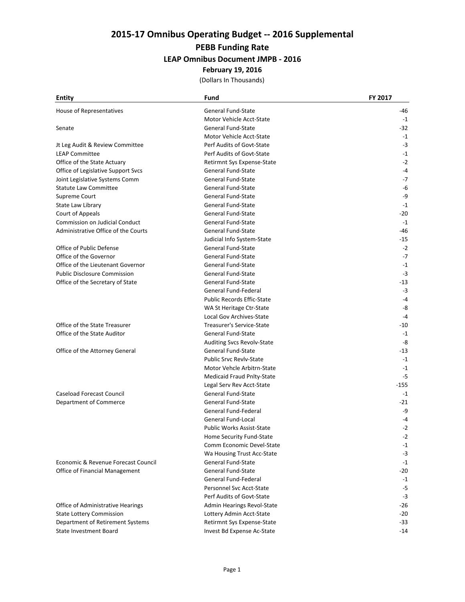#### **PEBB Funding Rate**

#### **LEAP Omnibus Document JMPB ‐ 2016**

#### **February 19, 2016**

| <b>Entity</b>                       | Fund                             | FY 2017 |
|-------------------------------------|----------------------------------|---------|
| House of Representatives            | General Fund-State               | -46     |
|                                     | Motor Vehicle Acct-State         | $-1$    |
| Senate                              | General Fund-State               | -32     |
|                                     | Motor Vehicle Acct-State         | $-1$    |
| Jt Leg Audit & Review Committee     | Perf Audits of Govt-State        | $-3$    |
| <b>LEAP Committee</b>               | Perf Audits of Govt-State        | $-1$    |
| Office of the State Actuary         | Retirmnt Sys Expense-State       | $-2$    |
| Office of Legislative Support Svcs  | <b>General Fund-State</b>        | -4      |
| Joint Legislative Systems Comm      | <b>General Fund-State</b>        | $-7$    |
| <b>Statute Law Committee</b>        | General Fund-State               | -6      |
| Supreme Court                       | General Fund-State               | -9      |
| State Law Library                   | General Fund-State               | $-1$    |
| Court of Appeals                    | General Fund-State               | $-20$   |
| Commission on Judicial Conduct      | General Fund-State               | $-1$    |
| Administrative Office of the Courts | <b>General Fund-State</b>        | -46     |
|                                     | Judicial Info System-State       | $-15$   |
| Office of Public Defense            | <b>General Fund-State</b>        | $-2$    |
| Office of the Governor              | General Fund-State               | $-7$    |
| Office of the Lieutenant Governor   | <b>General Fund-State</b>        | $-1$    |
| <b>Public Disclosure Commission</b> | General Fund-State               | $-3$    |
| Office of the Secretary of State    | General Fund-State               | $-13$   |
|                                     | General Fund-Federal             | $-3$    |
|                                     | Public Records Effic-State       | $-4$    |
|                                     | WA St Heritage Ctr-State         | -8      |
|                                     | Local Gov Archives-State         | $-4$    |
| Office of the State Treasurer       | Treasurer's Service-State        | -10     |
| Office of the State Auditor         | General Fund-State               | $-1$    |
|                                     | Auditing Svcs Revolv-State       | -8      |
| Office of the Attorney General      | General Fund-State               | $-13$   |
|                                     | <b>Public Srvc Revlv-State</b>   | $-1$    |
|                                     | Motor Vehcle Arbitrn-State       | $-1$    |
|                                     | Medicaid Fraud Pnlty-State       | $-5$    |
|                                     | Legal Serv Rev Acct-State        | $-155$  |
| <b>Caseload Forecast Council</b>    | <b>General Fund-State</b>        | $-1$    |
| Department of Commerce              | General Fund-State               | -21     |
|                                     | General Fund-Federal             | -9      |
|                                     | General Fund-Local               | $-4$    |
|                                     | <b>Public Works Assist-State</b> | $-2$    |
|                                     | Home Security Fund-State         | $-2$    |
|                                     | Comm Economic Devel-State        | $-1$    |
|                                     | Wa Housing Trust Acc-State       | $-3$    |
| Economic & Revenue Forecast Council | General Fund-State               | $-1$    |
| Office of Financial Management      | General Fund-State               | -20     |
|                                     | General Fund-Federal             | $-1$    |
|                                     | Personnel Svc Acct-State         | $-5$    |
|                                     | Perf Audits of Govt-State        | $-3$    |
| Office of Administrative Hearings   | Admin Hearings Revol-State       | $-26$   |
| <b>State Lottery Commission</b>     | Lottery Admin Acct-State         | $-20$   |
| Department of Retirement Systems    | Retirmnt Sys Expense-State       | -33     |
| <b>State Investment Board</b>       | Invest Bd Expense Ac-State       | $-14$   |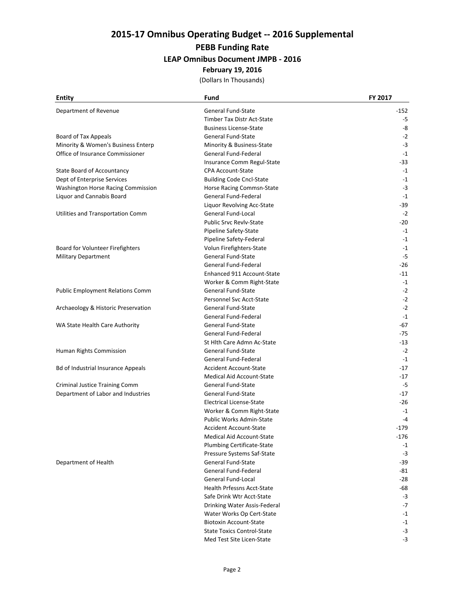#### **PEBB Funding Rate**

#### **LEAP Omnibus Document JMPB ‐ 2016**

#### **February 19, 2016**

| <b>Entity</b>                           | Fund                              | FY 2017 |
|-----------------------------------------|-----------------------------------|---------|
| Department of Revenue                   | General Fund-State                | -152    |
|                                         | Timber Tax Distr Act-State        | $-5$    |
|                                         | <b>Business License-State</b>     | -8      |
| Board of Tax Appeals                    | General Fund-State                | $-2$    |
| Minority & Women's Business Enterp      | Minority & Business-State         | $-3$    |
| Office of Insurance Commissioner        | General Fund-Federal              | $-1$    |
|                                         | Insurance Comm Regul-State        | -33     |
| State Board of Accountancy              | <b>CPA Account-State</b>          | $-1$    |
| Dept of Enterprise Services             | <b>Building Code Cncl-State</b>   | $-1$    |
| Washington Horse Racing Commission      | Horse Racing Commsn-State         | $-3$    |
| Liquor and Cannabis Board               | General Fund-Federal              | $-1$    |
|                                         | Liquor Revolving Acc-State        | $-39$   |
| Utilities and Transportation Comm       | General Fund-Local                | $-2$    |
|                                         | <b>Public Srvc Revlv-State</b>    | $-20$   |
|                                         | Pipeline Safety-State             | $-1$    |
|                                         | Pipeline Safety-Federal           | $-1$    |
| Board for Volunteer Firefighters        | Volun Firefighters-State          | $-1$    |
| <b>Military Department</b>              | General Fund-State                | $-5$    |
|                                         | General Fund-Federal              | $-26$   |
|                                         | Enhanced 911 Account-State        | $-11$   |
|                                         | Worker & Comm Right-State         | $-1$    |
| <b>Public Employment Relations Comm</b> | General Fund-State                | $-2$    |
|                                         | Personnel Svc Acct-State          | $-2$    |
| Archaeology & Historic Preservation     | <b>General Fund-State</b>         | $-2$    |
|                                         | General Fund-Federal              | $-1$    |
| WA State Health Care Authority          | General Fund-State                | -67     |
|                                         | General Fund-Federal              | $-75$   |
|                                         | St Hlth Care Admn Ac-State        | $-13$   |
| Human Rights Commission                 | General Fund-State                | $-2$    |
|                                         | General Fund-Federal              | $-1$    |
| Bd of Industrial Insurance Appeals      | <b>Accident Account-State</b>     | $-17$   |
|                                         | Medical Aid Account-State         | $-17$   |
| <b>Criminal Justice Training Comm</b>   | General Fund-State                | $-5$    |
| Department of Labor and Industries      | General Fund-State                | $-17$   |
|                                         | <b>Electrical License-State</b>   | $-26$   |
|                                         | Worker & Comm Right-State         | $-1$    |
|                                         | Public Works Admin-State          | $-4$    |
|                                         | <b>Accident Account-State</b>     | $-179$  |
|                                         | Medical Aid Account-State         | $-176$  |
|                                         | <b>Plumbing Certificate-State</b> | $-1$    |
|                                         | Pressure Systems Saf-State        | $-3$    |
| Department of Health                    | <b>General Fund-State</b>         | $-39$   |
|                                         | General Fund-Federal              | -81     |
|                                         | General Fund-Local                | $-28$   |
|                                         | <b>Health Prfessns Acct-State</b> | $-68$   |
|                                         | Safe Drink Wtr Acct-State         | $-3$    |
|                                         | Drinking Water Assis-Federal      | $-7$    |
|                                         | Water Works Op Cert-State         | $-1$    |
|                                         | <b>Biotoxin Account-State</b>     | $-1$    |
|                                         | <b>State Toxics Control-State</b> | $-3$    |
|                                         | Med Test Site Licen-State         | $-3$    |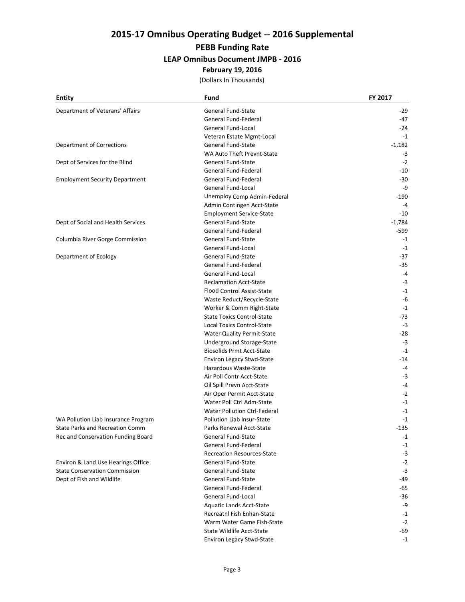#### **PEBB Funding Rate**

#### **LEAP Omnibus Document JMPB ‐ 2016**

#### **February 19, 2016**

| <b>Entity</b>                         | Fund                                | FY 2017  |
|---------------------------------------|-------------------------------------|----------|
| Department of Veterans' Affairs       | General Fund-State                  | -29      |
|                                       | General Fund-Federal                | -47      |
|                                       | General Fund-Local                  | $-24$    |
|                                       | Veteran Estate Mgmt-Local           | $-1$     |
| <b>Department of Corrections</b>      | <b>General Fund-State</b>           | $-1,182$ |
|                                       | WA Auto Theft Prevnt-State          | -3       |
| Dept of Services for the Blind        | General Fund-State                  | $-2$     |
|                                       | General Fund-Federal                | $-10$    |
| <b>Employment Security Department</b> | General Fund-Federal                | $-30$    |
|                                       | General Fund-Local                  | -9       |
|                                       | Unemploy Comp Admin-Federal         | $-190$   |
|                                       | Admin Contingen Acct-State          | $-4$     |
|                                       | <b>Employment Service-State</b>     | $-10$    |
| Dept of Social and Health Services    | General Fund-State                  | $-1,784$ |
|                                       | General Fund-Federal                | -599     |
| Columbia River Gorge Commission       | General Fund-State                  | $-1$     |
|                                       | General Fund-Local                  | $-1$     |
| Department of Ecology                 | General Fund-State                  | $-37$    |
|                                       | General Fund-Federal                | $-35$    |
|                                       | General Fund-Local                  | $-4$     |
|                                       | <b>Reclamation Acct-State</b>       | $-3$     |
|                                       | Flood Control Assist-State          | $-1$     |
|                                       | Waste Reduct/Recycle-State          | -6       |
|                                       | Worker & Comm Right-State           | $-1$     |
|                                       | <b>State Toxics Control-State</b>   | -73      |
|                                       | <b>Local Toxics Control-State</b>   | $-3$     |
|                                       | <b>Water Quality Permit-State</b>   | $-28$    |
|                                       | Underground Storage-State           | $-3$     |
|                                       | <b>Biosolids Prmt Acct-State</b>    | $-1$     |
|                                       | <b>Environ Legacy Stwd-State</b>    | $-14$    |
|                                       | Hazardous Waste-State               | $-4$     |
|                                       | Air Poll Contr Acct-State           | -3       |
|                                       | Oil Spill Prevn Acct-State          | $-4$     |
|                                       | Air Oper Permit Acct-State          | $-2$     |
|                                       | Water Poll Ctrl Adm-State           | $-1$     |
|                                       | <b>Water Pollution Ctrl-Federal</b> | $-1$     |
| WA Pollution Liab Insurance Program   | Pollution Liab Insur-State          | $-1$     |
| State Parks and Recreation Comm       | Parks Renewal Acct-State            | $-135$   |
| Rec and Conservation Funding Board    | General Fund-State                  | $-1$     |
|                                       | General Fund-Federal                | $-1$     |
|                                       | <b>Recreation Resources-State</b>   | $-3$     |
| Environ & Land Use Hearings Office    | General Fund-State                  | $-2$     |
| <b>State Conservation Commission</b>  | <b>General Fund-State</b>           | $-3$     |
| Dept of Fish and Wildlife             | General Fund-State                  | -49      |
|                                       | General Fund-Federal                | $-65$    |
|                                       | General Fund-Local                  | $-36$    |
|                                       | <b>Aquatic Lands Acct-State</b>     | -9       |
|                                       | Recreatnl Fish Enhan-State          | $-1$     |
|                                       | Warm Water Game Fish-State          | $-2$     |
|                                       | <b>State Wildlife Acct-State</b>    | -69      |
|                                       | <b>Environ Legacy Stwd-State</b>    | $-1$     |
|                                       |                                     |          |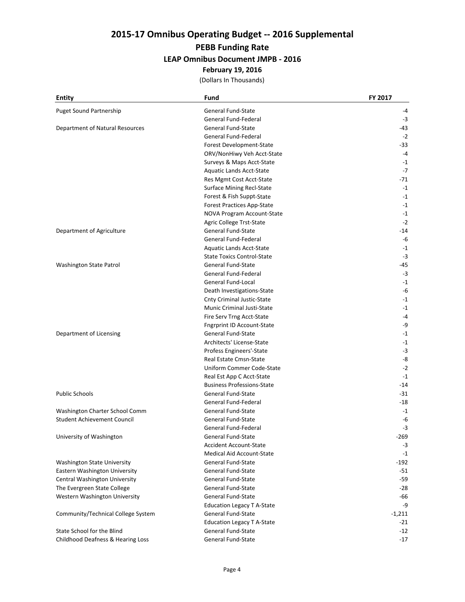#### **PEBB Funding Rate**

#### **LEAP Omnibus Document JMPB ‐ 2016**

#### **February 19, 2016**

| <b>Entity</b>                      | Fund                              | FY 2017  |
|------------------------------------|-----------------------------------|----------|
| Puget Sound Partnership            | General Fund-State                | -4       |
|                                    | General Fund-Federal              | $-3$     |
| Department of Natural Resources    | General Fund-State                | -43      |
|                                    | General Fund-Federal              | $-2$     |
|                                    | Forest Development-State          | -33      |
|                                    | ORV/NonHiwy Veh Acct-State        | $-4$     |
|                                    | Surveys & Maps Acct-State         | $-1$     |
|                                    | <b>Aquatic Lands Acct-State</b>   | $-7$     |
|                                    | Res Mgmt Cost Acct-State          | $-71$    |
|                                    | <b>Surface Mining Recl-State</b>  | $-1$     |
|                                    | Forest & Fish Suppt-State         | $-1$     |
|                                    | Forest Practices App-State        | $-1$     |
|                                    | NOVA Program Account-State        | $-1$     |
|                                    | Agric College Trst-State          | $-2$     |
| Department of Agriculture          | General Fund-State                | $-14$    |
|                                    | General Fund-Federal              | -6       |
|                                    | Aquatic Lands Acct-State          | $-1$     |
|                                    | <b>State Toxics Control-State</b> | $-3$     |
| Washington State Patrol            | <b>General Fund-State</b>         | -45      |
|                                    | General Fund-Federal              | $-3$     |
|                                    | General Fund-Local                | $-1$     |
|                                    | Death Investigations-State        | -6       |
|                                    | <b>Cnty Criminal Justic-State</b> | $-1$     |
|                                    | Munic Criminal Justi-State        | $-1$     |
|                                    | Fire Serv Trng Acct-State         | $-4$     |
|                                    | <b>Fngrprint ID Account-State</b> | -9       |
| Department of Licensing            | General Fund-State                | $-1$     |
|                                    | Architects' License-State         | $-1$     |
|                                    | Profess Engineers'-State          | $-3$     |
|                                    | Real Estate Cmsn-State            | -8       |
|                                    | Uniform Commer Code-State         | $-2$     |
|                                    | Real Est App C Acct-State         | $-1$     |
|                                    | <b>Business Professions-State</b> | $-14$    |
| <b>Public Schools</b>              | General Fund-State                | -31      |
|                                    | General Fund-Federal              | -18      |
| Washington Charter School Comm     | General Fund-State                | $-1$     |
| <b>Student Achievement Council</b> | <b>General Fund-State</b>         | -6       |
|                                    | General Fund-Federal              | $-3$     |
| University of Washington           | General Fund-State                | $-269$   |
|                                    | <b>Accident Account-State</b>     | $-3$     |
|                                    | Medical Aid Account-State         | $-1$     |
| Washington State University        | General Fund-State                | $-192$   |
| Eastern Washington University      | General Fund-State                | -51      |
| Central Washington University      | General Fund-State                | $-59$    |
| The Evergreen State College        | General Fund-State                | $-28$    |
| Western Washington University      | General Fund-State                | -66      |
|                                    | <b>Education Legacy T A-State</b> | -9       |
| Community/Technical College System | General Fund-State                | $-1,211$ |
|                                    | Education Legacy T A-State        | -21      |
| State School for the Blind         | General Fund-State                | $-12$    |
| Childhood Deafness & Hearing Loss  | General Fund-State                | $-17$    |